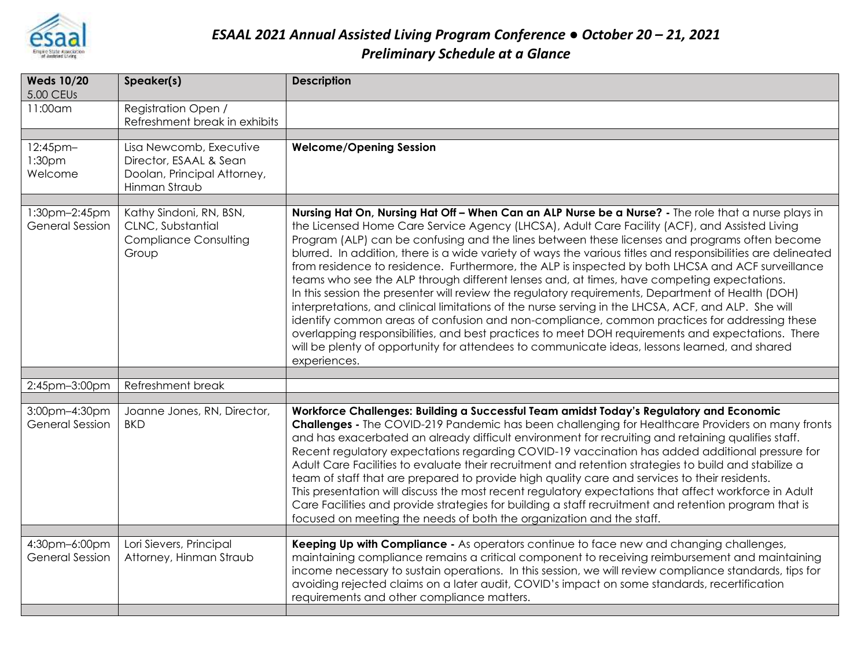

## *ESAAL 2021 Annual Assisted Living Program Conference ● October 20 – 21, 2021 Preliminary Schedule at a Glance*

| <b>Weds 10/20</b><br>5.00 CEUs            | Speaker(s)                                                                                        | <b>Description</b>                                                                                                                                                                                                                                                                                                                                                                                                                                                                                                                                                                                                                                                                                                                                                                                                                                                                                                                                                                                                                                                                                                                                          |
|-------------------------------------------|---------------------------------------------------------------------------------------------------|-------------------------------------------------------------------------------------------------------------------------------------------------------------------------------------------------------------------------------------------------------------------------------------------------------------------------------------------------------------------------------------------------------------------------------------------------------------------------------------------------------------------------------------------------------------------------------------------------------------------------------------------------------------------------------------------------------------------------------------------------------------------------------------------------------------------------------------------------------------------------------------------------------------------------------------------------------------------------------------------------------------------------------------------------------------------------------------------------------------------------------------------------------------|
| 11:00am                                   | <b>Registration Open /</b><br>Refreshment break in exhibits                                       |                                                                                                                                                                                                                                                                                                                                                                                                                                                                                                                                                                                                                                                                                                                                                                                                                                                                                                                                                                                                                                                                                                                                                             |
| 12:45pm-<br>1:30 <sub>pm</sub><br>Welcome | Lisa Newcomb, Executive<br>Director, ESAAL & Sean<br>Doolan, Principal Attorney,<br>Hinman Straub | <b>Welcome/Opening Session</b>                                                                                                                                                                                                                                                                                                                                                                                                                                                                                                                                                                                                                                                                                                                                                                                                                                                                                                                                                                                                                                                                                                                              |
| 1:30pm-2:45pm<br><b>General Session</b>   | Kathy Sindoni, RN, BSN,<br>CLNC, Substantial<br><b>Compliance Consulting</b><br>Group             | Nursing Hat On, Nursing Hat Off - When Can an ALP Nurse be a Nurse? - The role that a nurse plays in<br>the Licensed Home Care Service Agency (LHCSA), Adult Care Facility (ACF), and Assisted Living<br>Program (ALP) can be confusing and the lines between these licenses and programs often become<br>blurred. In addition, there is a wide variety of ways the various titles and responsibilities are delineated<br>from residence to residence. Furthermore, the ALP is inspected by both LHCSA and ACF surveillance<br>teams who see the ALP through different lenses and, at times, have competing expectations.<br>In this session the presenter will review the regulatory requirements, Department of Health (DOH)<br>interpretations, and clinical limitations of the nurse serving in the LHCSA, ACF, and ALP. She will<br>identify common areas of confusion and non-compliance, common practices for addressing these<br>overlapping responsibilities, and best practices to meet DOH requirements and expectations. There<br>will be plenty of opportunity for attendees to communicate ideas, lessons learned, and shared<br>experiences. |
| 2:45pm-3:00pm                             | Refreshment break                                                                                 |                                                                                                                                                                                                                                                                                                                                                                                                                                                                                                                                                                                                                                                                                                                                                                                                                                                                                                                                                                                                                                                                                                                                                             |
|                                           |                                                                                                   |                                                                                                                                                                                                                                                                                                                                                                                                                                                                                                                                                                                                                                                                                                                                                                                                                                                                                                                                                                                                                                                                                                                                                             |
| 3:00pm-4:30pm<br><b>General Session</b>   | Joanne Jones, RN, Director,<br><b>BKD</b>                                                         | Workforce Challenges: Building a Successful Team amidst Today's Regulatory and Economic<br><b>Challenges -</b> The COVID-219 Pandemic has been challenging for Healthcare Providers on many fronts<br>and has exacerbated an already difficult environment for recruiting and retaining qualifies staff.<br>Recent regulatory expectations regarding COVID-19 vaccination has added additional pressure for<br>Adult Care Facilities to evaluate their recruitment and retention strategies to build and stabilize a<br>team of staff that are prepared to provide high quality care and services to their residents.<br>This presentation will discuss the most recent regulatory expectations that affect workforce in Adult<br>Care Facilities and provide strategies for building a staff recruitment and retention program that is<br>focused on meeting the needs of both the organization and the staff.                                                                                                                                                                                                                                             |
| 4:30pm-6:00pm                             | Lori Sievers, Principal                                                                           | Keeping Up with Compliance - As operators continue to face new and changing challenges,                                                                                                                                                                                                                                                                                                                                                                                                                                                                                                                                                                                                                                                                                                                                                                                                                                                                                                                                                                                                                                                                     |
| <b>General Session</b>                    | Attorney, Hinman Straub                                                                           | maintaining compliance remains a critical component to receiving reimbursement and maintaining<br>income necessary to sustain operations. In this session, we will review compliance standards, tips for<br>avoiding rejected claims on a later audit, COVID's impact on some standards, recertification<br>requirements and other compliance matters.                                                                                                                                                                                                                                                                                                                                                                                                                                                                                                                                                                                                                                                                                                                                                                                                      |
|                                           |                                                                                                   |                                                                                                                                                                                                                                                                                                                                                                                                                                                                                                                                                                                                                                                                                                                                                                                                                                                                                                                                                                                                                                                                                                                                                             |